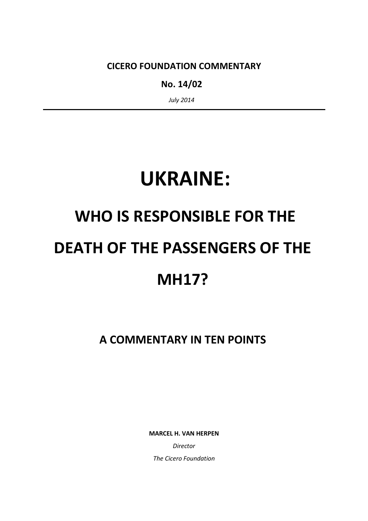CICERO FOUNDATION COMMENTARY

No. 14/02

July 2014

## UKRAINE:

# WHO IS RESPONSIBLE FOR THE DEATH OF THE PASSENGERS OF THE **MH17?**

A COMMENTARY IN TEN POINTS

MARCEL H. VAN HERPEN

Director The Cicero Foundation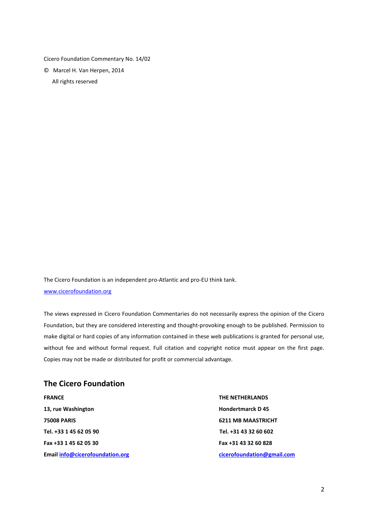Cicero Foundation Commentary No. 14/02

© Marcel H. Van Herpen, 2014

All rights reserved

The Cicero Foundation is an independent pro-Atlantic and pro-EU think tank. www.cicerofoundation.org

The views expressed in Cicero Foundation Commentaries do not necessarily express the opinion of the Cicero Foundation, but they are considered interesting and thought-provoking enough to be published. Permission to make digital or hard copies of any information contained in these web publications is granted for personal use, without fee and without formal request. Full citation and copyright notice must appear on the first page. Copies may not be made or distributed for profit or commercial advantage.

#### The Cicero Foundation

FRANCE THE NETHERLANDS 13, rue Washington **Hondertmarck D** 45 75008 PARIS 6211 MB MAASTRICHT Tel. +33 1 45 62 05 90 Tel. +31 43 32 60 602 Fax +33 1 45 62 05 30 Fax +31 43 32 60 828 Email info@cicerofoundation.org example and the circumstantial community control of the community control of the community control of the community control of the control of the control of the control of the control of the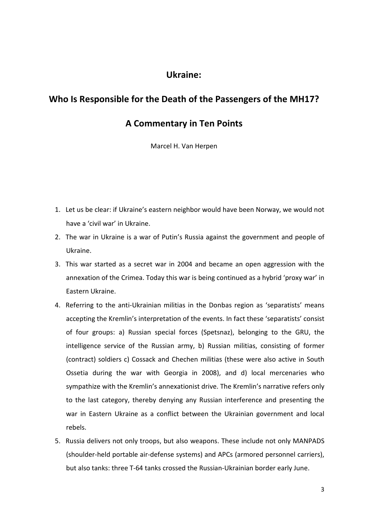### Ukraine:

### Who Is Responsible for the Death of the Passengers of the MH17?

### A Commentary in Ten Points

Marcel H. Van Herpen

- 1. Let us be clear: if Ukraine's eastern neighbor would have been Norway, we would not have a 'civil war' in Ukraine.
- 2. The war in Ukraine is a war of Putin's Russia against the government and people of Ukraine.
- 3. This war started as a secret war in 2004 and became an open aggression with the annexation of the Crimea. Today this war is being continued as a hybrid 'proxy war' in Eastern Ukraine.
- 4. Referring to the anti-Ukrainian militias in the Donbas region as 'separatists' means accepting the Kremlin's interpretation of the events. In fact these 'separatists' consist of four groups: a) Russian special forces (Spetsnaz), belonging to the GRU, the intelligence service of the Russian army, b) Russian militias, consisting of former (contract) soldiers c) Cossack and Chechen militias (these were also active in South Ossetia during the war with Georgia in 2008), and d) local mercenaries who sympathize with the Kremlin's annexationist drive. The Kremlin's narrative refers only to the last category, thereby denying any Russian interference and presenting the war in Eastern Ukraine as a conflict between the Ukrainian government and local rebels.
- 5. Russia delivers not only troops, but also weapons. These include not only MANPADS (shoulder-held portable air-defense systems) and APCs (armored personnel carriers), but also tanks: three T-64 tanks crossed the Russian-Ukrainian border early June.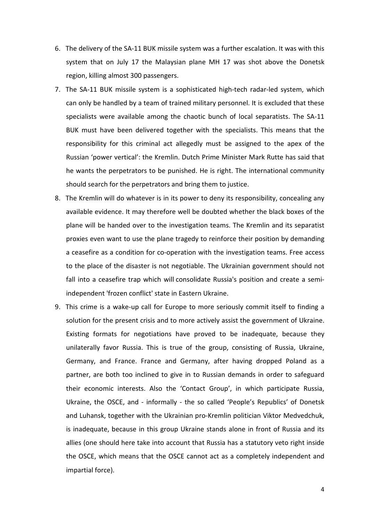- 6. The delivery of the SA-11 BUK missile system was a further escalation. It was with this system that on July 17 the Malaysian plane MH 17 was shot above the Donetsk region, killing almost 300 passengers.
- 7. The SA-11 BUK missile system is a sophisticated high-tech radar-led system, which can only be handled by a team of trained military personnel. It is excluded that these specialists were available among the chaotic bunch of local separatists. The SA-11 BUK must have been delivered together with the specialists. This means that the responsibility for this criminal act allegedly must be assigned to the apex of the Russian 'power vertical': the Kremlin. Dutch Prime Minister Mark Rutte has said that he wants the perpetrators to be punished. He is right. The international community should search for the perpetrators and bring them to justice.
- 8. The Kremlin will do whatever is in its power to deny its responsibility, concealing any available evidence. It may therefore well be doubted whether the black boxes of the plane will be handed over to the investigation teams. The Kremlin and its separatist proxies even want to use the plane tragedy to reinforce their position by demanding a ceasefire as a condition for co-operation with the investigation teams. Free access to the place of the disaster is not negotiable. The Ukrainian government should not fall into a ceasefire trap which will consolidate Russia's position and create a semiindependent 'frozen conflict' state in Eastern Ukraine.
- 9. This crime is a wake-up call for Europe to more seriously commit itself to finding a solution for the present crisis and to more actively assist the government of Ukraine. Existing formats for negotiations have proved to be inadequate, because they unilaterally favor Russia. This is true of the group, consisting of Russia, Ukraine, Germany, and France. France and Germany, after having dropped Poland as a partner, are both too inclined to give in to Russian demands in order to safeguard their economic interests. Also the 'Contact Group', in which participate Russia, Ukraine, the OSCE, and - informally - the so called 'People's Republics' of Donetsk and Luhansk, together with the Ukrainian pro-Kremlin politician Viktor Medvedchuk, is inadequate, because in this group Ukraine stands alone in front of Russia and its allies (one should here take into account that Russia has a statutory veto right inside the OSCE, which means that the OSCE cannot act as a completely independent and impartial force).